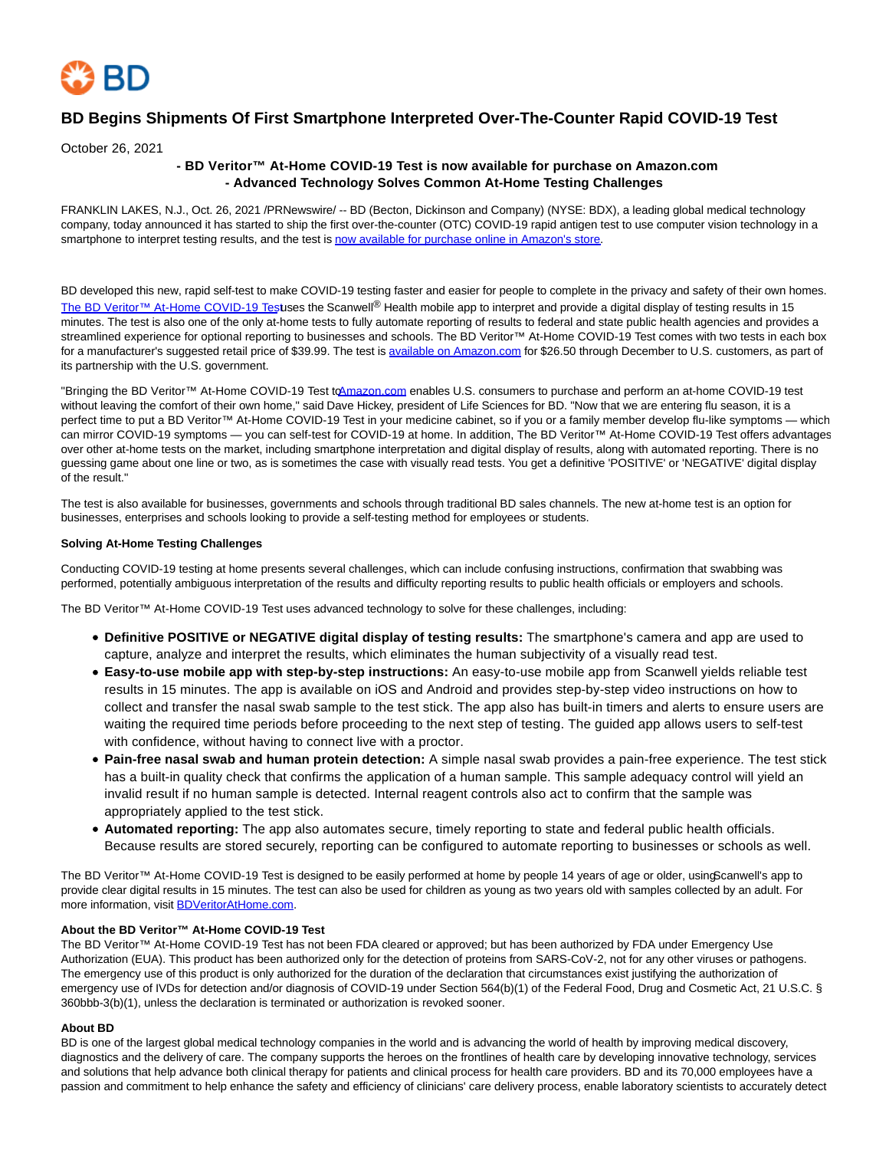

# **BD Begins Shipments Of First Smartphone Interpreted Over-The-Counter Rapid COVID-19 Test**

October 26, 2021

## **- BD Veritor™ At-Home COVID-19 Test is now available for purchase on Amazon.com - Advanced Technology Solves Common At-Home Testing Challenges**

FRANKLIN LAKES, N.J., Oct. 26, 2021 /PRNewswire/ -- BD (Becton, Dickinson and Company) (NYSE: BDX), a leading global medical technology company, today announced it has started to ship the first over-the-counter (OTC) COVID-19 rapid antigen test to use computer vision technology in a smartphone to interpret testing results, and the test is now available for purchase online in Amazon's store.

BD developed this new, rapid self-test to make COVID-19 testing faster and easier for people to complete in the privacy and safety of their own homes. [The BD Veritor™ At-Home COVID-19 Test u](https://c212.net/c/link/?t=0&l=en&o=3335023-1&h=1797395277&u=https%3A%2F%2Fwww.youtube.com%2Fwatch%3Fv%3DJaCMRdNc_fY&a=The+BD+Veritor%E2%84%A2+At-Home+COVID-19+Test)ses the Scanwell® Health mobile app to interpret and provide a digital display of testing results in 15 minutes. The test is also one of the only at-home tests to fully automate reporting of results to federal and state public health agencies and provides a streamlined experience for optional reporting to businesses and schools. The BD Veritor™ At-Home COVID-19 Test comes with two tests in each box for a manufacturer's suggested retail price of \$39.99. The test is [available on Amazon.com f](https://c212.net/c/link/?t=0&l=en&o=3335023-1&h=3589016226&u=https%3A%2F%2Fwww.amazon.com%2Fdp%2FB099HXCBSW&a=available+on+Amazon.com)or \$26.50 through December to U.S. customers, as part of its partnership with the U.S. government.

"Bringing the BD Veritor™ At-Home COVID-19 Test t[o Amazon.com e](http://amazon.com/)nables U.S. consumers to purchase and perform an at-home COVID-19 test without leaving the comfort of their own home," said Dave Hickey, president of Life Sciences for BD. "Now that we are entering flu season, it is a perfect time to put a BD Veritor™ At-Home COVID-19 Test in your medicine cabinet, so if you or a family member develop flu-like symptoms — which can mirror COVID-19 symptoms — you can self-test for COVID-19 at home. In addition, The BD Veritor™ At-Home COVID-19 Test offers advantages over other at-home tests on the market, including smartphone interpretation and digital display of results, along with automated reporting. There is no guessing game about one line or two, as is sometimes the case with visually read tests. You get a definitive 'POSITIVE' or 'NEGATIVE' digital display of the result."

The test is also available for businesses, governments and schools through traditional BD sales channels. The new at-home test is an option for businesses, enterprises and schools looking to provide a self-testing method for employees or students.

### **Solving At-Home Testing Challenges**

Conducting COVID-19 testing at home presents several challenges, which can include confusing instructions, confirmation that swabbing was performed, potentially ambiguous interpretation of the results and difficulty reporting results to public health officials or employers and schools.

The BD Veritor™ At-Home COVID-19 Test uses advanced technology to solve for these challenges, including:

- **Definitive POSITIVE or NEGATIVE digital display of testing results:** The smartphone's camera and app are used to capture, analyze and interpret the results, which eliminates the human subjectivity of a visually read test.
- **Easy-to-use mobile app with step-by-step instructions:** An easy-to-use mobile app from Scanwell yields reliable test results in 15 minutes. The app is available on iOS and Android and provides step-by-step video instructions on how to collect and transfer the nasal swab sample to the test stick. The app also has built-in timers and alerts to ensure users are waiting the required time periods before proceeding to the next step of testing. The guided app allows users to self-test with confidence, without having to connect live with a proctor.
- **Pain-free nasal swab and human protein detection:** A simple nasal swab provides a pain-free experience. The test stick has a built-in quality check that confirms the application of a human sample. This sample adequacy control will yield an invalid result if no human sample is detected. Internal reagent controls also act to confirm that the sample was appropriately applied to the test stick.
- **Automated reporting:** The app also automates secure, timely reporting to state and federal public health officials. Because results are stored securely, reporting can be configured to automate reporting to businesses or schools as well.

The BD Veritor™ At-Home COVID-19 Test is designed to be easily performed at home by people 14 years of age or older, usinoScanwell's app to provide clear digital results in 15 minutes. The test can also be used for children as young as two years old with samples collected by an adult. For more information, visit [BDVeritorAtHome.com.](https://c212.net/c/link/?t=0&l=en&o=3335023-1&h=1794984412&u=http%3A%2F%2Fbdveritorathome.com%2F&a=BDVeritorAtHome.com)

### **About the BD Veritor™ At-Home COVID-19 Test**

The BD Veritor™ At-Home COVID-19 Test has not been FDA cleared or approved; but has been authorized by FDA under Emergency Use Authorization (EUA). This product has been authorized only for the detection of proteins from SARS-CoV-2, not for any other viruses or pathogens. The emergency use of this product is only authorized for the duration of the declaration that circumstances exist justifying the authorization of emergency use of IVDs for detection and/or diagnosis of COVID-19 under Section 564(b)(1) of the Federal Food, Drug and Cosmetic Act, 21 U.S.C. § 360bbb-3(b)(1), unless the declaration is terminated or authorization is revoked sooner.

### **About BD**

BD is one of the largest global medical technology companies in the world and is advancing the world of health by improving medical discovery, diagnostics and the delivery of care. The company supports the heroes on the frontlines of health care by developing innovative technology, services and solutions that help advance both clinical therapy for patients and clinical process for health care providers. BD and its 70,000 employees have a passion and commitment to help enhance the safety and efficiency of clinicians' care delivery process, enable laboratory scientists to accurately detect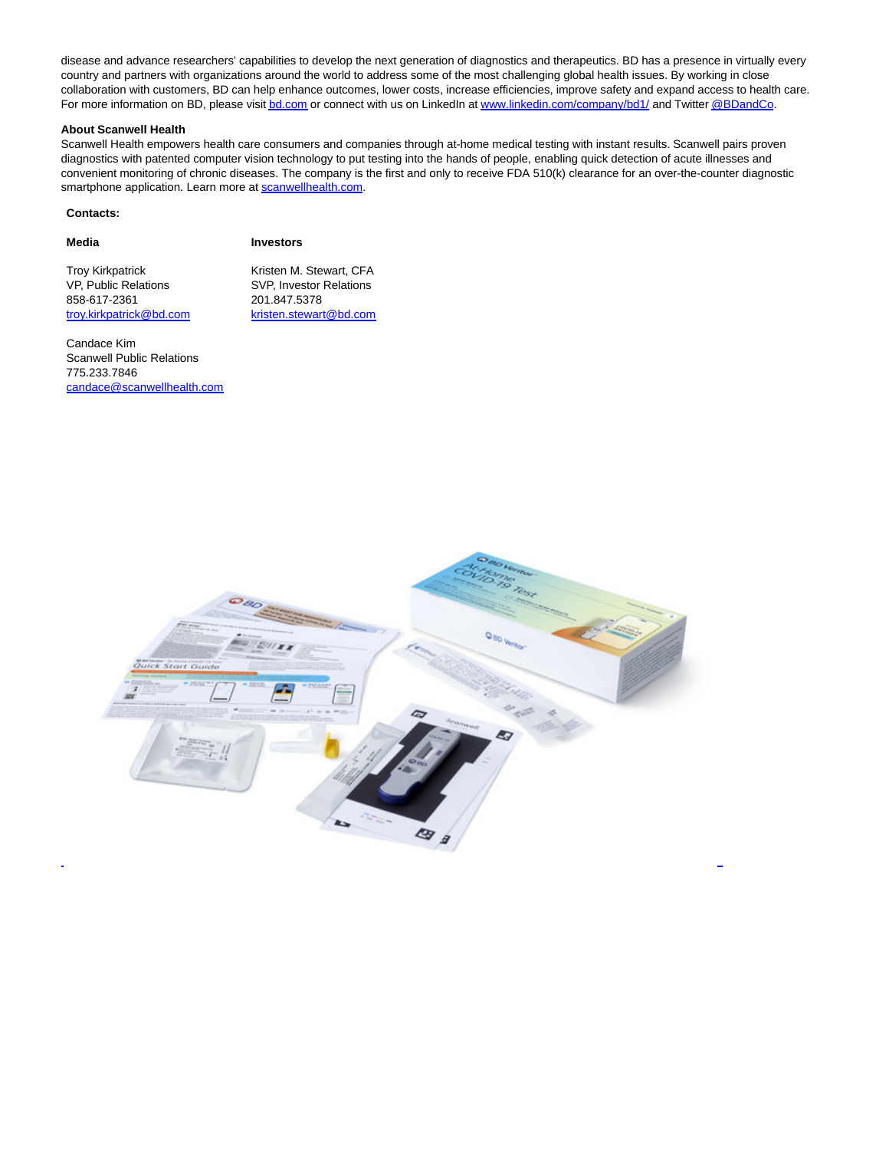disease and advance researchers' capabilities to develop the next generation of diagnostics and therapeutics. BD has a presence in virtually every country and partners with organizations around the world to address some of the most challenging global health issues. By working in close collaboration with customers, BD can help enhance outcomes, lower costs, increase efficiencies, improve safety and expand access to health care. For more information on BD, please visi[t bd.com o](https://c212.net/c/link/?t=0&l=en&o=3335023-1&h=230536407&u=http%3A%2F%2Fwww.bd.com%2F&a=bd.com)r connect with us on LinkedIn a[t www.linkedin.com/company/bd1/ a](https://c212.net/c/link/?t=0&l=en&o=3335023-1&h=1863214203&u=http%3A%2F%2Fwww.linkedin.com%2Fcompany%2Fbd1%2F&a=www.linkedin.com%2Fcompany%2Fbd1%2F)nd Twitte[r @BDandCo.](https://c212.net/c/link/?t=0&l=en&o=3335023-1&h=3816969185&u=https%3A%2F%2Ftwitter.com%2Fbdandco&a=%40BDandCo)

#### **About Scanwell Health**

Scanwell Health empowers health care consumers and companies through at-home medical testing with instant results. Scanwell pairs proven diagnostics with patented computer vision technology to put testing into the hands of people, enabling quick detection of acute illnesses and convenient monitoring of chronic diseases. The company is the first and only to receive FDA 510(k) clearance for an over-the-counter diagnostic smartphone application. Learn more a[t scanwellhealth.com.](https://c212.net/c/link/?t=0&l=en&o=3335023-1&h=2404960368&u=http%3A%2F%2Fwww.scanwellhealth.com%2F&a=scanwellhealth.com)

#### **Contacts:**

| -<br>× |
|--------|
|--------|

**Media Investors**

Troy Kirkpatrick **Kristen M. Stewart, CFA** VP, Public Relations SVP, Investor Relations 858-617-2361 [troy.kirkpatrick@bd.com](mailto:troy.kirkpatrick@bd.com) [kristen.stewart@bd.com](mailto:kristen.stewart@bd.com)

Candace Kim Scanwell Public Relations 775.233.7846 [candace@scanwellhealth.com](mailto:candace@scanwellhealth.com)